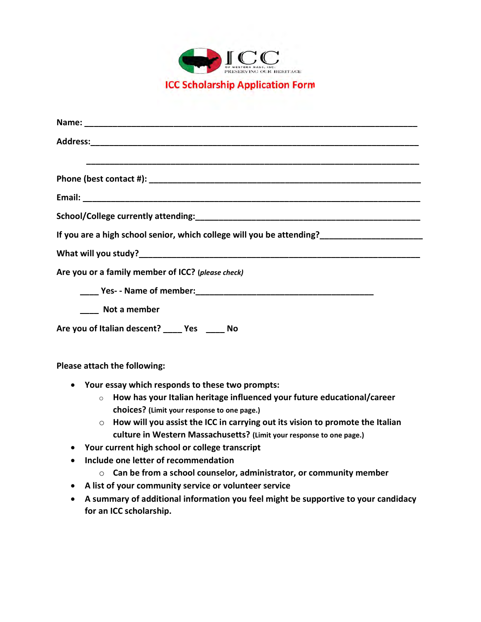

| If you are a high school senior, which college will you be attending?________________________ |  |
|-----------------------------------------------------------------------------------------------|--|
|                                                                                               |  |
| Are you or a family member of ICC? (please check)                                             |  |
|                                                                                               |  |
| <b>Not a member</b>                                                                           |  |
| Are you of Italian descent? _____ Yes _____ No                                                |  |
| Please attach the following:                                                                  |  |

- Your essay which responds to these two prompts:
	- $\circ$  How has your Italian heritage influenced your future educational/career choices? (Limit your response to one page.)
	- $\circ$  How will you assist the ICC in carrying out its vision to promote the Italian culture in Western Massachusetts? (Limit your response to one page.)
- Your current high school or college transcript
- Include one letter of recommendation
	- $\circ$  Can be from a school counselor, administrator, or community member
- A list of your community service or volunteer service
- A summary of additional information you feel might be supportive to your candidacy for an ICC scholarship.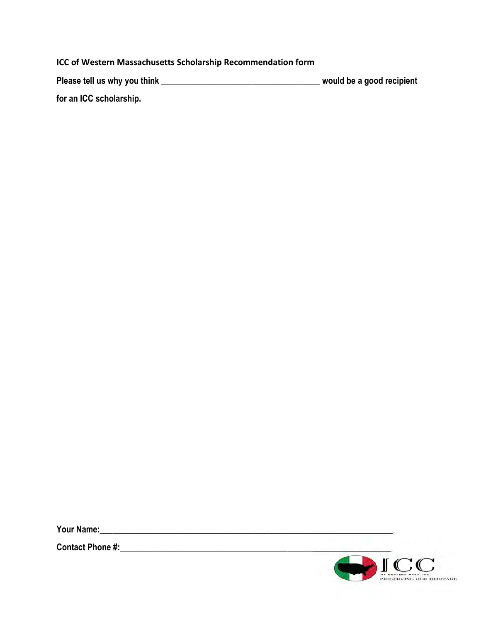## ICC of Western Massachusetts Scholarship Recommendation form

| Please tell us why you think | would be a good recipient |
|------------------------------|---------------------------|
| for an ICC scholarship.      |                           |

Your Name:\_\_\_\_\_\_\_\_\_\_\_\_\_\_\_\_\_\_\_\_\_\_\_\_\_\_\_\_\_\_\_\_\_\_\_\_\_\_\_\_\_\_\_\_\_\_\_\_\_\_\_\_\_\_\_\_\_\_\_\_\_\_\_\_\_\_\_\_

Contact Phone #:\_\_\_\_\_\_\_\_\_\_\_\_\_\_\_\_\_\_\_\_\_\_\_\_\_\_\_\_\_\_\_\_\_\_\_\_\_\_\_\_\_\_\_\_\_\_\_\_\_\_\_\_\_\_\_\_\_\_\_\_\_\_\_

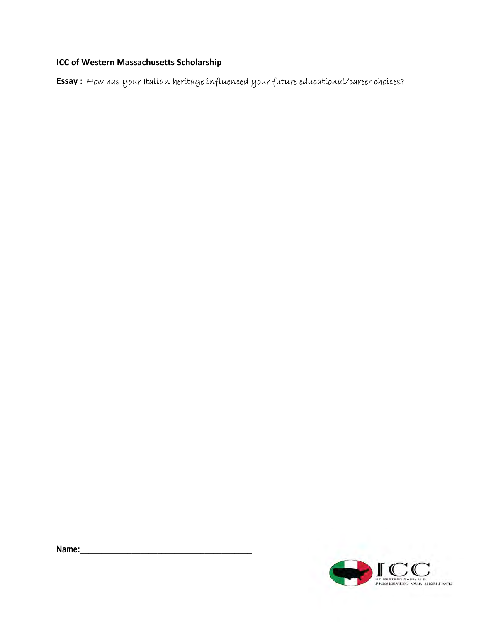## ICC of Western Massachusetts Scholarship

Essay : How has your Italian heritage influenced your future educational/career choices?

Name: